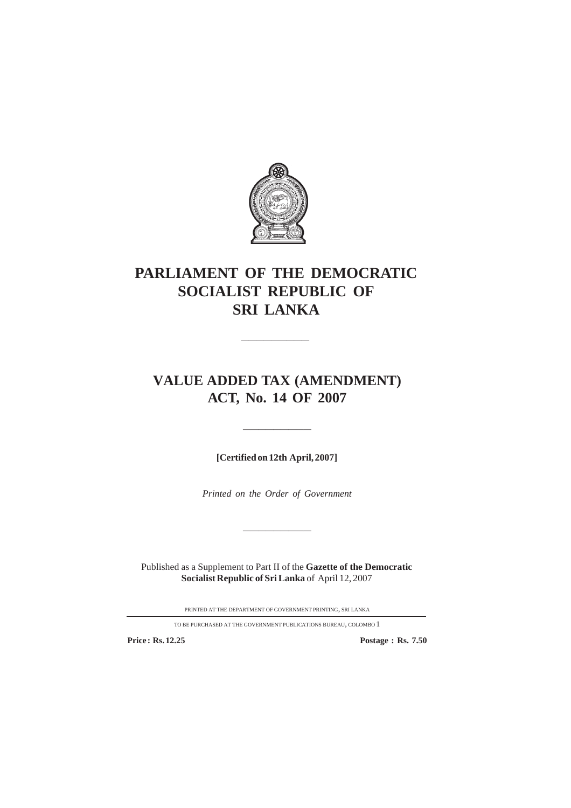

# **PARLIAMENT OF THE DEMOCRATIC SOCIALIST REPUBLIC OF SRI LANKA**

————————————————————

# **VALUE ADDED TAX (AMENDMENT) ACT, No. 14 OF 2007**

**[Certified on 12th April, 2007]**

—————————

*Printed on the Order of Government*

—————————

Published as a Supplement to Part II of the **Gazette of the Democratic Socialist Republic of Sri Lanka** of April 12, 2007

PRINTED AT THE DEPARTMENT OF GOVERNMENT PRINTING, SRI LANKA

TO BE PURCHASED AT THE GOVERNMENT PUBLICATIONS BUREAU, COLOMBO 1

**Price : Rs. 12.25 Postage : Rs. 7.50**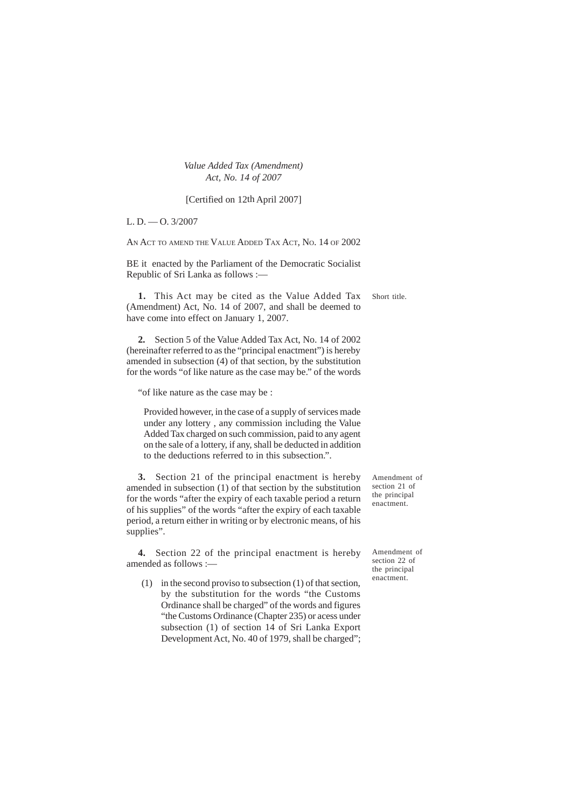[Certified on 12th April 2007]

L. D.  $-$  O. 3/2007

AN ACT TO AMEND THE VALUE ADDED TAX ACT, NO. 14 OF 2002

BE it enacted by the Parliament of the Democratic Socialist Republic of Sri Lanka as follows :—

Short title. **1.** This Act may be cited as the Value Added Tax (Amendment) Act, No. 14 of 2007, and shall be deemed to have come into effect on January 1, 2007.

**2.** Section 5 of the Value Added Tax Act, No. 14 of 2002 (hereinafter referred to as the "principal enactment") is hereby amended in subsection (4) of that section, by the substitution for the words "of like nature as the case may be." of the words

"of like nature as the case may be :

Provided however, in the case of a supply of services made under any lottery , any commission including the Value Added Tax charged on such commission, paid to any agent on the sale of a lottery, if any, shall be deducted in addition to the deductions referred to in this subsection.".

**3.** Section 21 of the principal enactment is hereby amended in subsection (1) of that section by the substitution for the words "after the expiry of each taxable period a return of his supplies" of the words "after the expiry of each taxable period, a return either in writing or by electronic means, of his supplies".

**4.** Section 22 of the principal enactment is hereby amended as follows :—

(1) in the second proviso to subsection (1) of that section, by the substitution for the words "the Customs Ordinance shall be charged" of the words and figures "the Customs Ordinance (Chapter 235) or acess under subsection (1) of section 14 of Sri Lanka Export Development Act, No. 40 of 1979, shall be charged"; Amendment of section 21 of the principal enactment.

Amendment of section 22 of the principal enactment.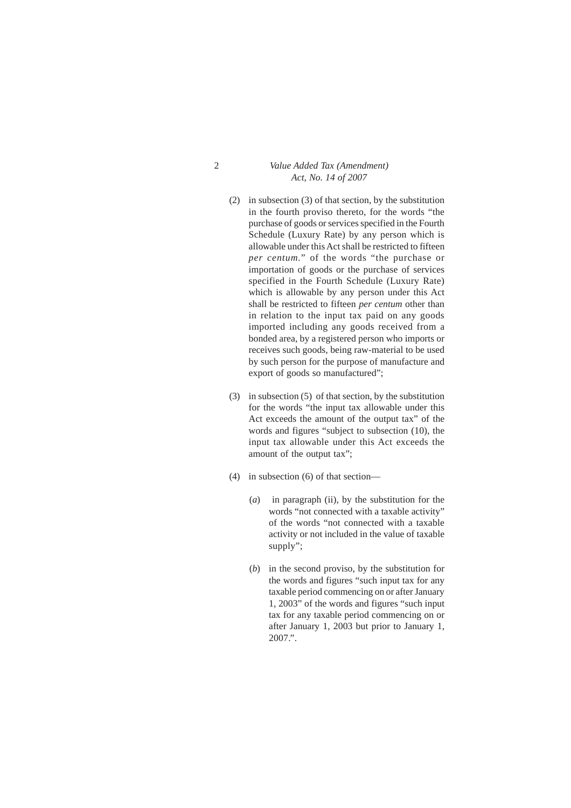- (2) in subsection (3) of that section, by the substitution in the fourth proviso thereto, for the words "the purchase of goods or services specified in the Fourth Schedule (Luxury Rate) by any person which is allowable under this Act shall be restricted to fifteen *per centum.*" of the words "the purchase or importation of goods or the purchase of services specified in the Fourth Schedule (Luxury Rate) which is allowable by any person under this Act shall be restricted to fifteen *per centum* other than in relation to the input tax paid on any goods imported including any goods received from a bonded area, by a registered person who imports or receives such goods, being raw-material to be used by such person for the purpose of manufacture and export of goods so manufactured";
- (3) in subsection (5) of that section, by the substitution for the words "the input tax allowable under this Act exceeds the amount of the output tax" of the words and figures "subject to subsection (10), the input tax allowable under this Act exceeds the amount of the output tax";
- (4) in subsection (6) of that section—
	- (*a*) in paragraph (ii), by the substitution for the words "not connected with a taxable activity" of the words "not connected with a taxable activity or not included in the value of taxable supply";
	- (*b*) in the second proviso, by the substitution for the words and figures "such input tax for any taxable period commencing on or after January 1, 2003" of the words and figures "such input tax for any taxable period commencing on or after January 1, 2003 but prior to January 1, 2007.".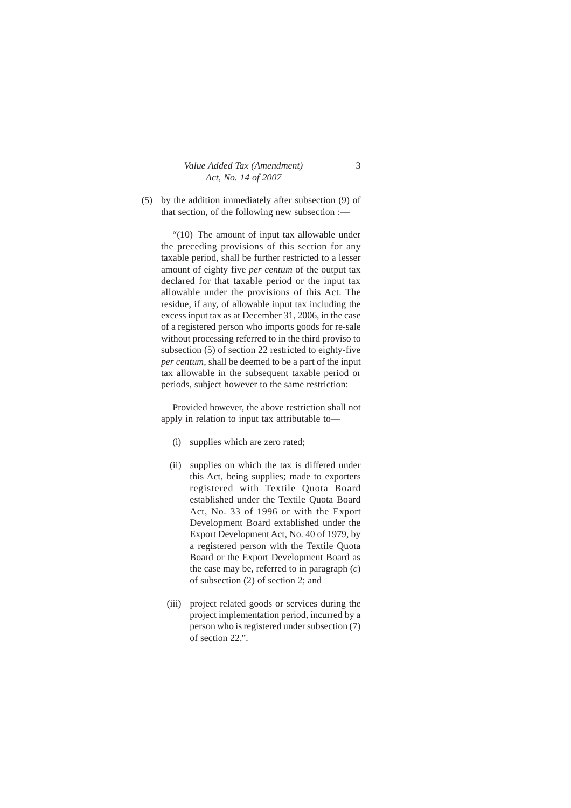|  |  | Value Added Tax (Amendment) |
|--|--|-----------------------------|
|  |  | Act, No. 14 of 2007         |

(5) by the addition immediately after subsection (9) of that section, of the following new subsection :—

"(10) The amount of input tax allowable under the preceding provisions of this section for any taxable period, shall be further restricted to a lesser amount of eighty five *per centum* of the output tax declared for that taxable period or the input tax allowable under the provisions of this Act. The residue, if any, of allowable input tax including the excess input tax as at December 31, 2006, in the case of a registered person who imports goods for re-sale without processing referred to in the third proviso to subsection (5) of section 22 restricted to eighty-five *per centum,* shall be deemed to be a part of the input tax allowable in the subsequent taxable period or periods, subject however to the same restriction:

Provided however, the above restriction shall not apply in relation to input tax attributable to—

- (i) supplies which are zero rated;
- (ii) supplies on which the tax is differed under this Act, being supplies; made to exporters registered with Textile Quota Board established under the Textile Quota Board Act, No. 33 of 1996 or with the Export Development Board extablished under the Export Development Act, No. 40 of 1979, by a registered person with the Textile Quota Board or the Export Development Board as the case may be, referred to in paragraph (*c*) of subsection (2) of section 2; and
- (iii) project related goods or services during the project implementation period, incurred by a person who is registered under subsection (7) of section 22.".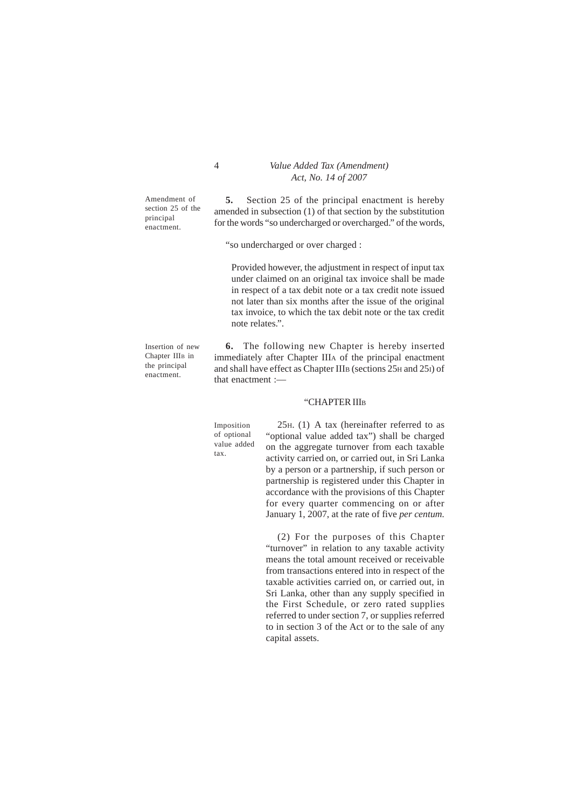Amendment of section 25 of the principal enactment.

Insertion of new Chapter IIIB in the principal enactment.

4 *Value Added Tax (Amendment) Act, No. 14 of 2007*

**5.** Section 25 of the principal enactment is hereby amended in subsection (1) of that section by the substitution for the words "so undercharged or overcharged." of the words,

"so undercharged or over charged :

Provided however, the adjustment in respect of input tax under claimed on an original tax invoice shall be made in respect of a tax debit note or a tax credit note issued not later than six months after the issue of the original tax invoice, to which the tax debit note or the tax credit note relates.".

**6.** The following new Chapter is hereby inserted immediately after Chapter IIIA of the principal enactment and shall have effect as Chapter IIIB (sections 25H and 25I) of that enactment :—

#### "CHAPTER III<sub>B</sub>

Imposition of optional value added tax.

25H. (1) A tax (hereinafter referred to as "optional value added tax") shall be charged on the aggregate turnover from each taxable activity carried on, or carried out, in Sri Lanka by a person or a partnership, if such person or partnership is registered under this Chapter in accordance with the provisions of this Chapter for every quarter commencing on or after January 1, 2007, at the rate of five *per centum.*

(2) For the purposes of this Chapter "turnover" in relation to any taxable activity means the total amount received or receivable from transactions entered into in respect of the taxable activities carried on, or carried out, in Sri Lanka, other than any supply specified in the First Schedule, or zero rated supplies referred to under section 7, or supplies referred to in section 3 of the Act or to the sale of any capital assets.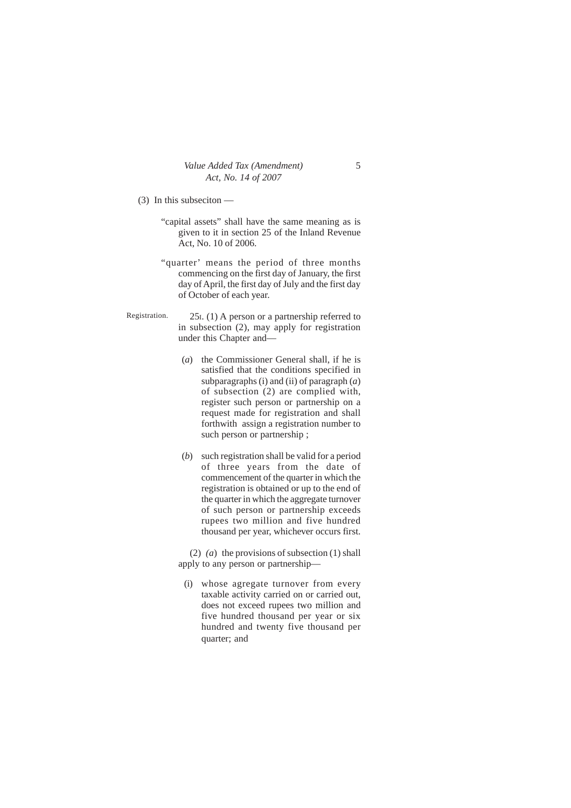(3) In this subseciton —

- "capital assets" shall have the same meaning as is given to it in section 25 of the Inland Revenue Act, No. 10 of 2006.
- "quarter' means the period of three months commencing on the first day of January, the first day of April, the first day of July and the first day of October of each year.
- 25I. (1) A person or a partnership referred to in subsection (2), may apply for registration under this Chapter and— Registration.
	- (*a*) the Commissioner General shall, if he is satisfied that the conditions specified in subparagraphs (i) and (ii) of paragraph (*a*) of subsection (2) are complied with, register such person or partnership on a request made for registration and shall forthwith assign a registration number to such person or partnership ;
	- (*b*) such registration shall be valid for a period of three years from the date of commencement of the quarter in which the registration is obtained or up to the end of the quarter in which the aggregate turnover of such person or partnership exceeds rupees two million and five hundred thousand per year, whichever occurs first.

(2) *(a*) the provisions of subsection (1) shall apply to any person or partnership—

(i) whose agregate turnover from every taxable activity carried on or carried out, does not exceed rupees two million and five hundred thousand per year or six hundred and twenty five thousand per quarter; and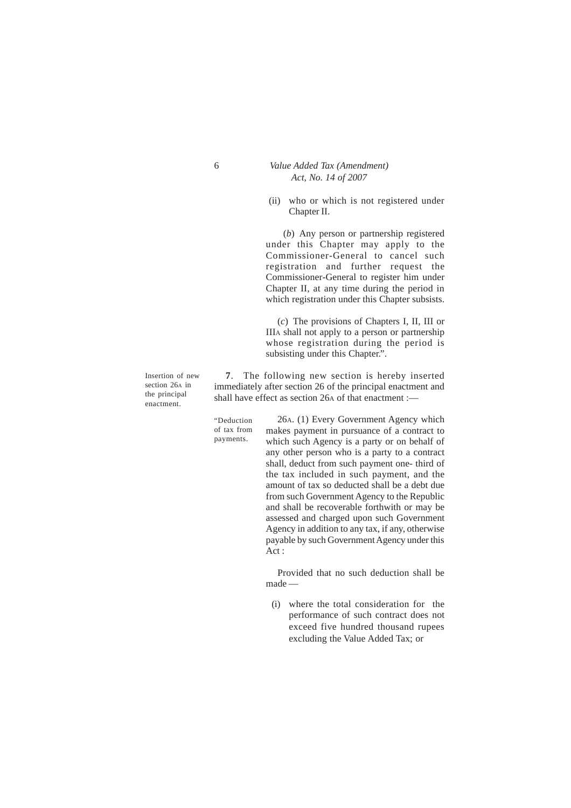(ii) who or which is not registered under Chapter II.

(*b*) Any person or partnership registered under this Chapter may apply to the Commissioner-General to cancel such registration and further request the Commissioner-General to register him under Chapter II, at any time during the period in which registration under this Chapter subsists.

(*c*) The provisions of Chapters I, II, III or IIIA shall not apply to a person or partnership whose registration during the period is subsisting under this Chapter.".

**7**. The following new section is hereby inserted immediately after section 26 of the principal enactment and shall have effect as section 26A of that enactment :—

"Deduction of tax from payments.

26A. (1) Every Government Agency which makes payment in pursuance of a contract to which such Agency is a party or on behalf of any other person who is a party to a contract shall, deduct from such payment one- third of the tax included in such payment, and the amount of tax so deducted shall be a debt due from such Government Agency to the Republic and shall be recoverable forthwith or may be assessed and charged upon such Government Agency in addition to any tax, if any, otherwise payable by such Government Agency under this Act :

Provided that no such deduction shall be made —

(i) where the total consideration for the performance of such contract does not exceed five hundred thousand rupees excluding the Value Added Tax; or

Insertion of new section 26A in the principal enactment.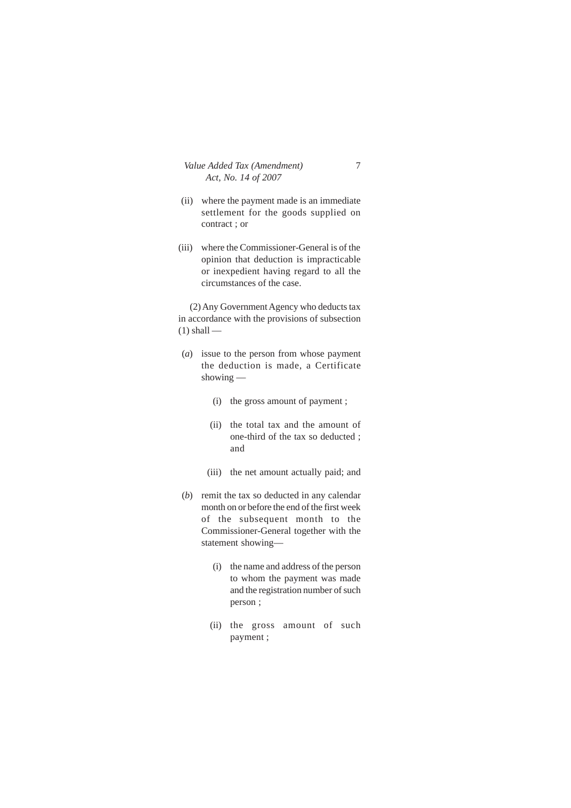- (ii) where the payment made is an immediate settlement for the goods supplied on contract ; or
- (iii) where the Commissioner-General is of the opinion that deduction is impracticable or inexpedient having regard to all the circumstances of the case.

(2) Any Government Agency who deducts tax in accordance with the provisions of subsection  $(1)$  shall —

- (*a*) issue to the person from whose payment the deduction is made, a Certificate showing —
	- (i) the gross amount of payment ;
	- (ii) the total tax and the amount of one-third of the tax so deducted ; and
	- (iii) the net amount actually paid; and
- (*b*) remit the tax so deducted in any calendar month on or before the end of the first week of the subsequent month to the Commissioner-General together with the statement showing—
	- (i) the name and address of the person to whom the payment was made and the registration number of such person ;
	- (ii) the gross amount of such payment ;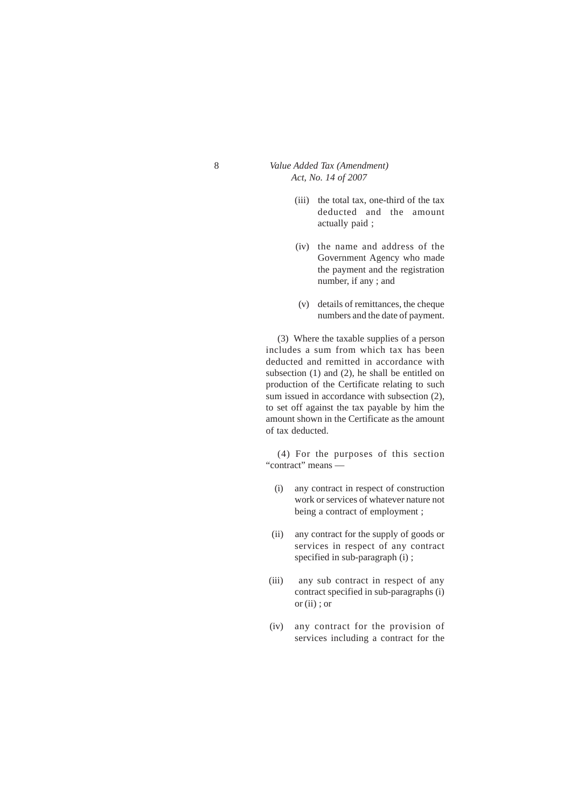- (iii) the total tax, one-third of the tax deducted and the amount actually paid ;
- (iv) the name and address of the Government Agency who made the payment and the registration number, if any ; and
- (v) details of remittances, the cheque numbers and the date of payment.

(3) Where the taxable supplies of a person includes a sum from which tax has been deducted and remitted in accordance with subsection (1) and (2), he shall be entitled on production of the Certificate relating to such sum issued in accordance with subsection (2), to set off against the tax payable by him the amount shown in the Certificate as the amount of tax deducted.

(4) For the purposes of this section "contract" means —

- (i) any contract in respect of construction work or services of whatever nature not being a contract of employment ;
- (ii) any contract for the supply of goods or services in respect of any contract specified in sub-paragraph (i) ;
- (iii) any sub contract in respect of any contract specified in sub-paragraphs (i) or (ii) ; or
- (iv) any contract for the provision of services including a contract for the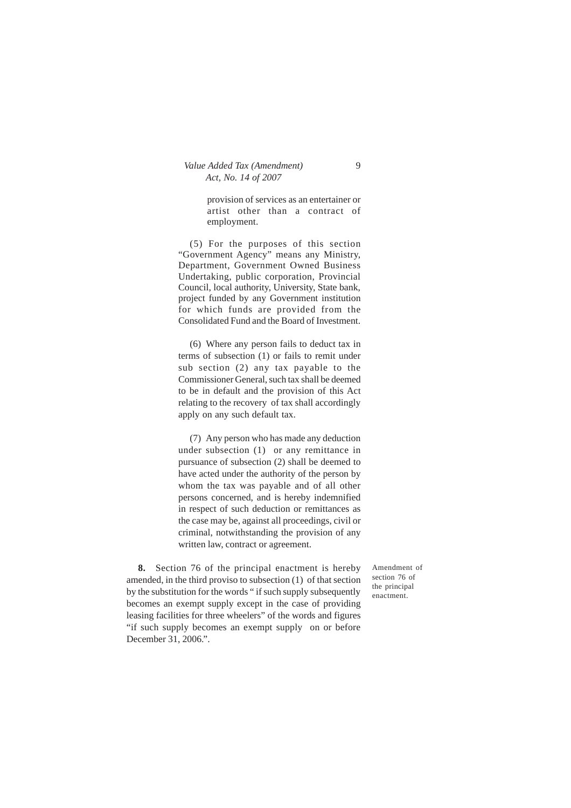provision of services as an entertainer or artist other than a contract of employment.

(5) For the purposes of this section "Government Agency" means any Ministry, Department, Government Owned Business Undertaking, public corporation, Provincial Council, local authority, University, State bank, project funded by any Government institution for which funds are provided from the Consolidated Fund and the Board of Investment.

(6) Where any person fails to deduct tax in terms of subsection (1) or fails to remit under sub section (2) any tax payable to the Commissioner General, such tax shall be deemed to be in default and the provision of this Act relating to the recovery of tax shall accordingly apply on any such default tax.

(7) Any person who has made any deduction under subsection (1) or any remittance in pursuance of subsection (2) shall be deemed to have acted under the authority of the person by whom the tax was payable and of all other persons concerned, and is hereby indemnified in respect of such deduction or remittances as the case may be, against all proceedings, civil or criminal, notwithstanding the provision of any written law, contract or agreement.

**8.** Section 76 of the principal enactment is hereby amended, in the third proviso to subsection (1) of that section by the substitution for the words " if such supply subsequently becomes an exempt supply except in the case of providing leasing facilities for three wheelers" of the words and figures "if such supply becomes an exempt supply on or before December 31, 2006.".

Amendment of section 76 of the principal enactment.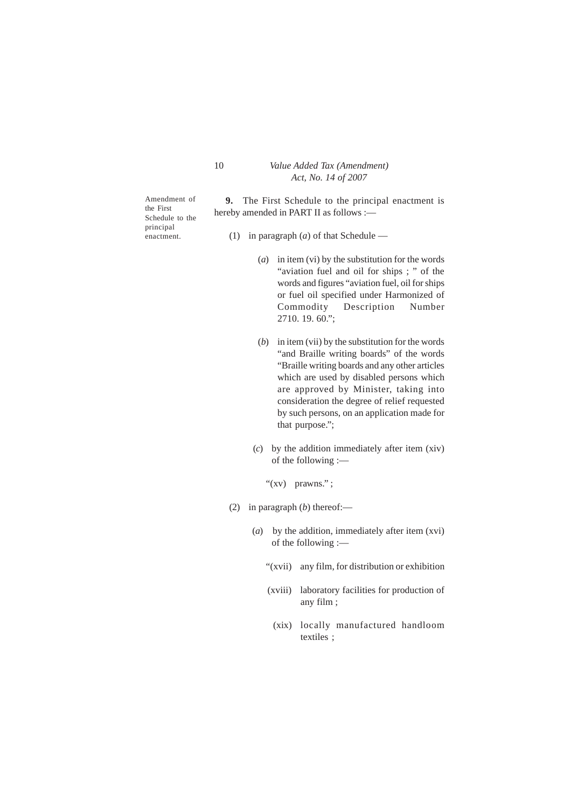Amendment of the First Schedule to the principal enactment.

**9.** The First Schedule to the principal enactment is hereby amended in PART II as follows :—

- (1) in paragraph (*a*) of that Schedule
	- (*a*) in item (vi) by the substitution for the words "aviation fuel and oil for ships ; " of the words and figures "aviation fuel, oil for ships or fuel oil specified under Harmonized of Commodity Description Number 2710. 19. 60.";
	- (*b*) in item (vii) by the substitution for the words "and Braille writing boards" of the words "Braille writing boards and any other articles which are used by disabled persons which are approved by Minister, taking into consideration the degree of relief requested by such persons, on an application made for that purpose.";
	- (*c*) by the addition immediately after item (xiv) of the following :—
		- "(xv) prawns.";
- (2) in paragraph (*b*) thereof:—
	- (*a*) by the addition, immediately after item (xvi) of the following :—
		- "(xvii) any film, for distribution or exhibition
		- (xviii) laboratory facilities for production of any film ;
		- (xix) locally manufactured handloom textiles ;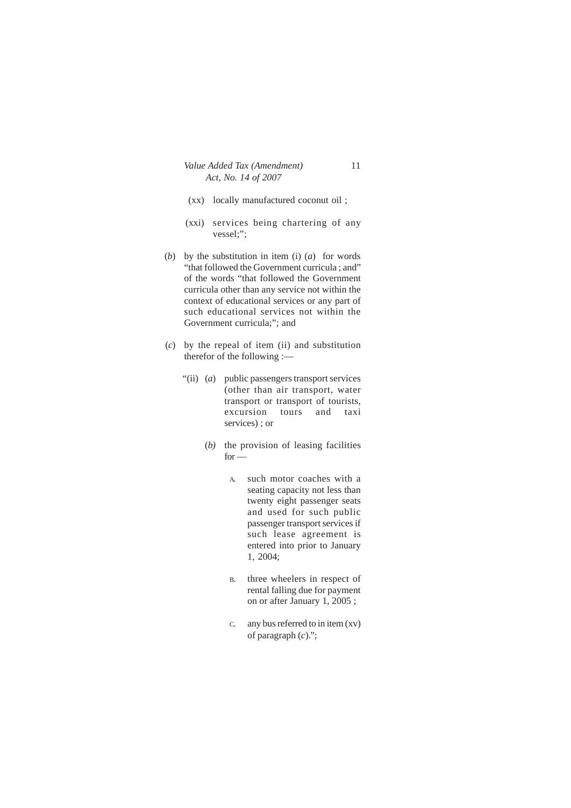- (xx) locally manufactured coconut oil ;
- (xxi) services being chartering of any vessel;";
- (*b*) by the substitution in item (i) (*a*) for words "that followed the Government curricula ; and" of the words "that followed the Government curricula other than any service not within the context of educational services or any part of such educational services not within the Government curricula;"; and
- (*c*) by the repeal of item (ii) and substitution therefor of the following :—
	- "(ii) (*a*) public passengers transport services (other than air transport, water transport or transport of tourists, excursion tours and taxi services) ; or
		- (*b)* the provision of leasing facilities  $for -$ 
			- A. such motor coaches with a seating capacity not less than twenty eight passenger seats and used for such public passenger transport services if such lease agreement is entered into prior to January 1, 2004;
			- B. three wheelers in respect of rental falling due for payment on or after January 1, 2005 ;
			- C. any bus referred to in item (xv) of paragraph (*c*).";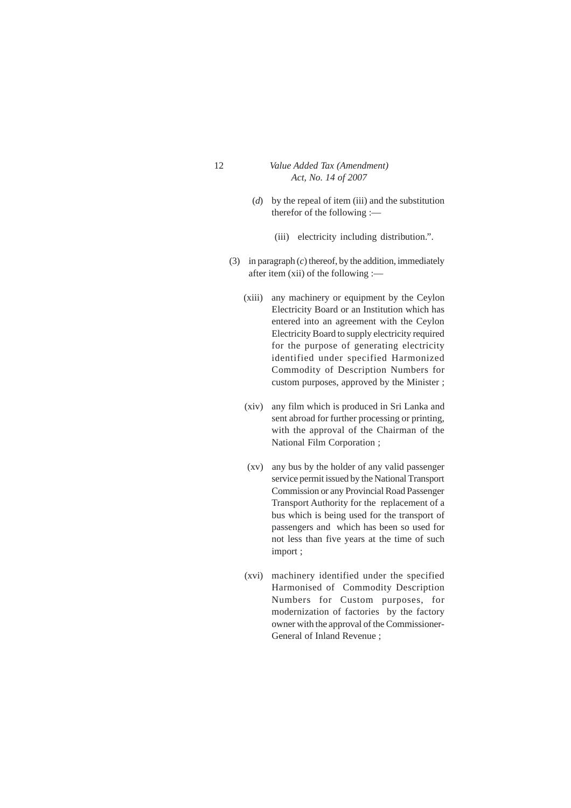- 12 *Value Added Tax (Amendment) Act, No. 14 of 2007*
	- (*d*) by the repeal of item (iii) and the substitution therefor of the following :—
		- (iii) electricity including distribution.".
	- (3) in paragraph (*c*) thereof, by the addition, immediately after item (xii) of the following :—
		- (xiii) any machinery or equipment by the Ceylon Electricity Board or an Institution which has entered into an agreement with the Ceylon Electricity Board to supply electricity required for the purpose of generating electricity identified under specified Harmonized Commodity of Description Numbers for custom purposes, approved by the Minister ;
		- (xiv) any film which is produced in Sri Lanka and sent abroad for further processing or printing, with the approval of the Chairman of the National Film Corporation ;
		- (xv) any bus by the holder of any valid passenger service permit issued by the National Transport Commission or any Provincial Road Passenger Transport Authority for the replacement of a bus which is being used for the transport of passengers and which has been so used for not less than five years at the time of such import ;
		- (xvi) machinery identified under the specified Harmonised of Commodity Description Numbers for Custom purposes, for modernization of factories by the factory owner with the approval of the Commissioner-General of Inland Revenue ;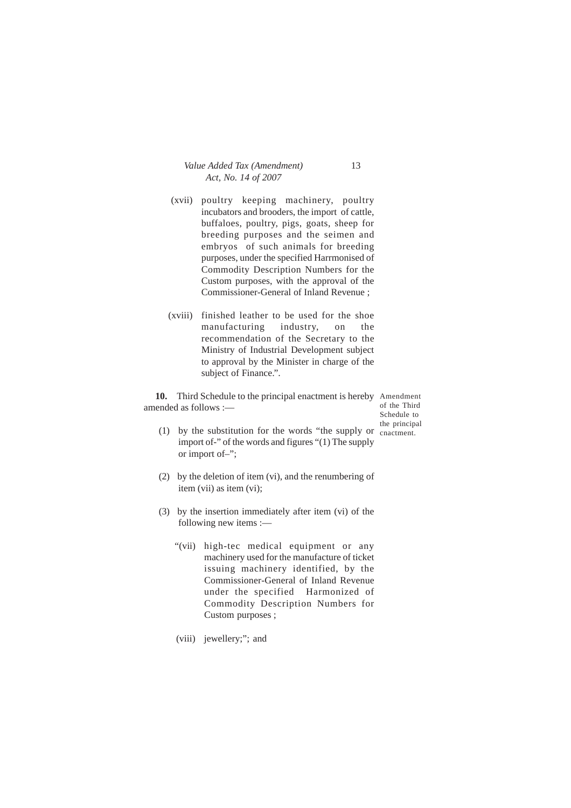- (xvii) poultry keeping machinery, poultry incubators and brooders, the import of cattle, buffaloes, poultry, pigs, goats, sheep for breeding purposes and the seimen and embryos of such animals for breeding purposes, under the specified Harrmonised of Commodity Description Numbers for the Custom purposes, with the approval of the Commissioner-General of Inland Revenue ;
- (xviii) finished leather to be used for the shoe manufacturing industry, on the recommendation of the Secretary to the Ministry of Industrial Development subject to approval by the Minister in charge of the subject of Finance.".

**10.** Third Schedule to the principal enactment is hereby Amendment amended as follows :—

of the Third Schedule to the principal

- (1) by the substitution for the words "the supply or cnactment.import of-" of the words and figures "(1) The supply or import of–";
- (2) by the deletion of item (vi), and the renumbering of item (vii) as item (vi);
- (3) by the insertion immediately after item (vi) of the following new items :—
	- "(vii) high-tec medical equipment or any machinery used for the manufacture of ticket issuing machinery identified, by the Commissioner-General of Inland Revenue under the specified Harmonized of Commodity Description Numbers for Custom purposes ;
	- (viii) jewellery;"; and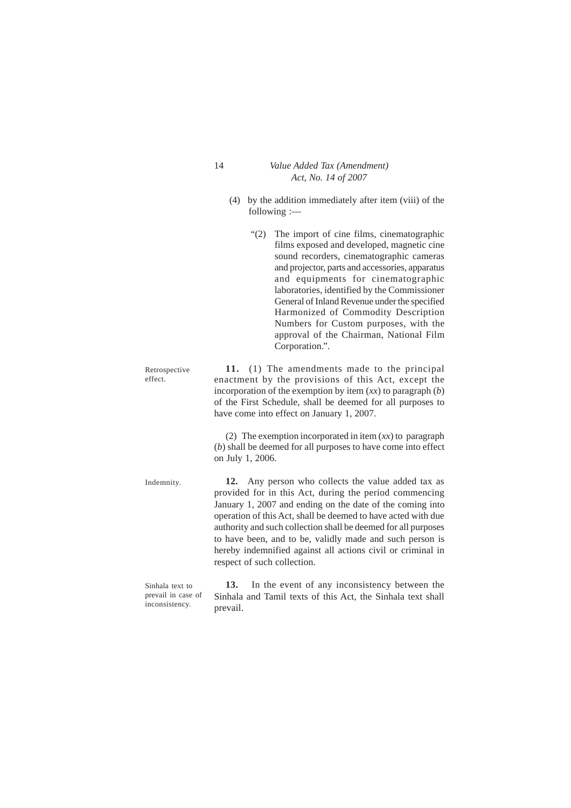(4) by the addition immediately after item (viii) of the following :—

"(2) The import of cine films, cinematographic films exposed and developed, magnetic cine sound recorders, cinematographic cameras and projector, parts and accessories, apparatus and equipments for cinematographic laboratories, identified by the Commissioner General of Inland Revenue under the specified Harmonized of Commodity Description Numbers for Custom purposes, with the approval of the Chairman, National Film Corporation.". **11.** (1) The amendments made to the principal enactment by the provisions of this Act, except the incorporation of the exemption by item (*xx*) to paragraph (*b*) of the First Schedule, shall be deemed for all purposes to have come into effect on January 1, 2007. (2) The exemption incorporated in item (*xx*) to paragraph (*b*) shall be deemed for all purposes to have come into effect on July 1, 2006. **12.** Any person who collects the value added tax as provided for in this Act, during the period commencing January 1, 2007 and ending on the date of the coming into operation of this Act, shall be deemed to have acted with due authority and such collection shall be deemed for all purposes to have been, and to be, validly made and such person is hereby indemnified against all actions civil or criminal in respect of such collection. Indemnity. Retrospective effect.

**13.** In the event of any inconsistency between the Sinhala and Tamil texts of this Act, the Sinhala text shall prevail. Sinhala text to prevail in case of inconsistency.